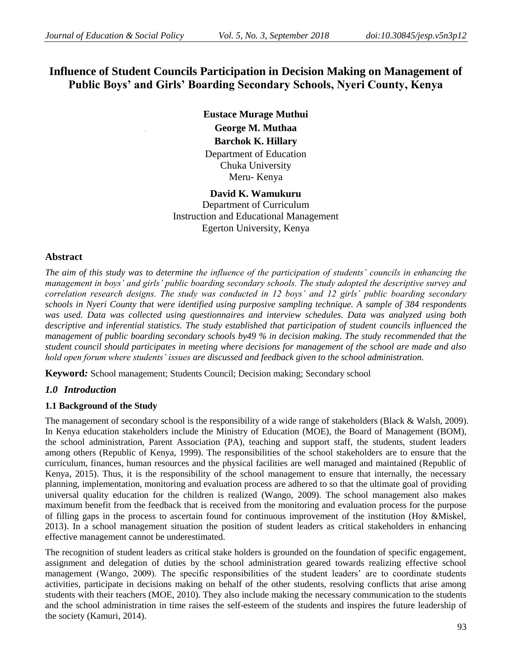# **Influence of Student Councils Participation in Decision Making on Management of Public Boys' and Girls' Boarding Secondary Schools, Nyeri County, Kenya**

**Eustace Murage Muthui George M. Muthaa Barchok K. Hillary**  Department of Education Chuka University Meru- Kenya

**David K. Wamukuru** Department of Curriculum Instruction and Educational Management Egerton University, Kenya

# **Abstract**

*The aim of this study was to determine the influence of the participation of students' councils in enhancing the management in boys' and girls' public boarding secondary schools. The study adopted the descriptive survey and correlation research designs. The study was conducted in 12 boys' and 12 girls' public boarding secondary schools in Nyeri County that were identified using purposive sampling technique. A sample of 384 respondents was used. Data was collected using questionnaires and interview schedules. Data was analyzed using both descriptive and inferential statistics. The study established that participation of student councils influenced the management of public boarding secondary schools by49 % in decision making. The study recommended that the student council should participates in meeting where decisions for management of the school are made and also hold open forum where students' issues are discussed and feedback given to the school administration.* 

**Keyword***:* School management; Students Council; Decision making; Secondary school

# *1.0 Introduction*

# **1.1 Background of the Study**

The management of secondary school is the responsibility of a wide range of stakeholders (Black & Walsh, 2009). In Kenya education stakeholders include the Ministry of Education (MOE), the Board of Management (BOM), the school administration, Parent Association (PA), teaching and support staff, the students, student leaders among others (Republic of Kenya, 1999). The responsibilities of the school stakeholders are to ensure that the curriculum, finances, human resources and the physical facilities are well managed and maintained (Republic of Kenya, 2015). Thus, it is the responsibility of the school management to ensure that internally, the necessary planning, implementation, monitoring and evaluation process are adhered to so that the ultimate goal of providing universal quality education for the children is realized (Wango, 2009). The school management also makes maximum benefit from the feedback that is received from the monitoring and evaluation process for the purpose of filling gaps in the process to ascertain found for continuous improvement of the institution (Hoy &Miskel, 2013). In a school management situation the position of student leaders as critical stakeholders in enhancing effective management cannot be underestimated.

The recognition of student leaders as critical stake holders is grounded on the foundation of specific engagement, assignment and delegation of duties by the school administration geared towards realizing effective school management (Wango, 2009). The specific responsibilities of the student leaders' are to coordinate students activities, participate in decisions making on behalf of the other students, resolving conflicts that arise among students with their teachers (MOE, 2010). They also include making the necessary communication to the students and the school administration in time raises the self-esteem of the students and inspires the future leadership of the society (Kamuri, 2014).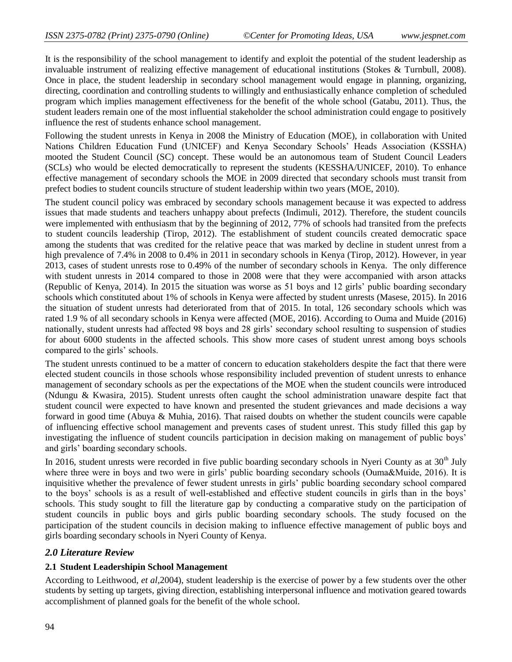It is the responsibility of the school management to identify and exploit the potential of the student leadership as invaluable instrument of realizing effective management of educational institutions (Stokes & Turnbull, 2008). Once in place, the student leadership in secondary school management would engage in planning, organizing, directing, coordination and controlling students to willingly and enthusiastically enhance completion of scheduled program which implies management effectiveness for the benefit of the whole school (Gatabu, 2011). Thus, the student leaders remain one of the most influential stakeholder the school administration could engage to positively influence the rest of students enhance school management.

Following the student unrests in Kenya in 2008 the Ministry of Education (MOE), in collaboration with United Nations Children Education Fund (UNICEF) and Kenya Secondary Schools' Heads Association (KSSHA) mooted the Student Council (SC) concept. These would be an autonomous team of Student Council Leaders (SCLs) who would be elected democratically to represent the students (KESSHA/UNICEF, 2010). To enhance effective management of secondary schools the MOE in 2009 directed that secondary schools must transit from prefect bodies to student councils structure of student leadership within two years (MOE, 2010).

The student council policy was embraced by secondary schools management because it was expected to address issues that made students and teachers unhappy about prefects (Indimuli, 2012). Therefore, the student councils were implemented with enthusiasm that by the beginning of 2012, 77% of schools had transited from the prefects to student councils leadership (Tirop, 2012). The establishment of student councils created democratic space among the students that was credited for the relative peace that was marked by decline in student unrest from a high prevalence of 7.4% in 2008 to 0.4% in 2011 in secondary schools in Kenya (Tirop, 2012). However, in year 2013, cases of student unrests rose to 0.49% of the number of secondary schools in Kenya. The only difference with student unrests in 2014 compared to those in 2008 were that they were accompanied with arson attacks (Republic of Kenya, 2014). In 2015 the situation was worse as 51 boys and 12 girls' public boarding secondary schools which constituted about 1% of schools in Kenya were affected by student unrests (Masese, 2015). In 2016 the situation of student unrests had deteriorated from that of 2015. In total, 126 secondary schools which was rated 1.9 % of all secondary schools in Kenya were affected (MOE, 2016). According to Ouma and Muide (2016) nationally, student unrests had affected 98 boys and 28 girls' secondary school resulting to suspension of studies for about 6000 students in the affected schools. This show more cases of student unrest among boys schools compared to the girls' schools.

The student unrests continued to be a matter of concern to education stakeholders despite the fact that there were elected student councils in those schools whose responsibility included prevention of student unrests to enhance management of secondary schools as per the expectations of the MOE when the student councils were introduced (Ndungu & Kwasira, 2015). Student unrests often caught the school administration unaware despite fact that student council were expected to have known and presented the student grievances and made decisions a way forward in good time (Abuya & Muhia, 2016). That raised doubts on whether the student councils were capable of influencing effective school management and prevents cases of student unrest. This study filled this gap by investigating the influence of student councils participation in decision making on management of public boys' and girls' boarding secondary schools.

In 2016, student unrests were recorded in five public boarding secondary schools in Nyeri County as at  $30<sup>th</sup>$  July where three were in boys and two were in girls' public boarding secondary schools (Ouma&Muide, 2016). It is inquisitive whether the prevalence of fewer student unrests in girls' public boarding secondary school compared to the boys' schools is as a result of well-established and effective student councils in girls than in the boys' schools. This study sought to fill the literature gap by conducting a comparative study on the participation of student councils in public boys and girls public boarding secondary schools. The study focused on the participation of the student councils in decision making to influence effective management of public boys and girls boarding secondary schools in Nyeri County of Kenya.

# *2.0 Literature Review*

## **2.1 Student Leadershipin School Management**

According to Leithwood, *et al,*2004), student leadership is the exercise of power by a few students over the other students by setting up targets, giving direction, establishing interpersonal influence and motivation geared towards accomplishment of planned goals for the benefit of the whole school.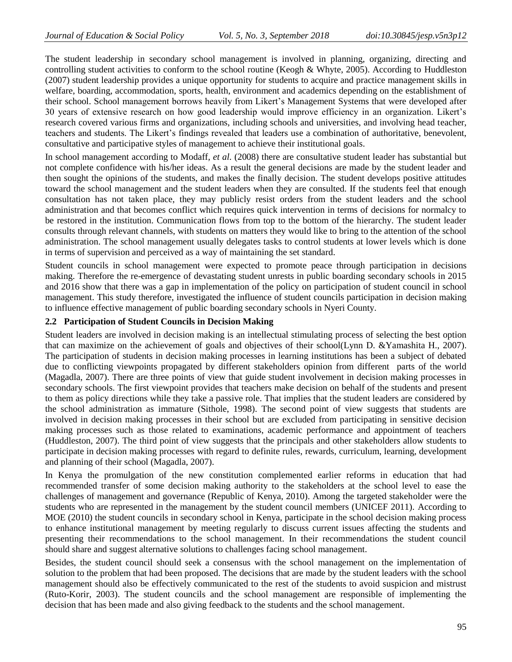The student leadership in secondary school management is involved in planning, organizing, directing and controlling student activities to conform to the school routine (Keogh & Whyte, 2005). According to Huddleston (2007) student leadership provides a unique opportunity for students to acquire and practice management skills in welfare, boarding, accommodation, sports, health, environment and academics depending on the establishment of their school. School management borrows heavily from Likert's Management Systems that were developed after 30 years of extensive research on how good leadership would improve efficiency in an organization. Likert's research covered various firms and organizations, including schools and universities, and involving head teacher, teachers and students. The Likert's findings revealed that leaders use a combination of authoritative, benevolent, consultative and participative styles of management to achieve their institutional goals.

In school management according to Modaff*, et al.* (2008) there are consultative student leader has substantial but not complete confidence with his/her ideas. As a result the general decisions are made by the student leader and then sought the opinions of the students, and makes the finally decision. The student develops positive attitudes toward the school management and the student leaders when they are consulted. If the students feel that enough consultation has not taken place, they may publicly resist orders from the student leaders and the school administration and that becomes conflict which requires quick intervention in terms of decisions for normalcy to be restored in the institution. Communication flows from top to the bottom of the hierarchy. The student leader consults through relevant channels, with students on matters they would like to bring to the attention of the school administration. The school management usually delegates tasks to control students at lower levels which is done in terms of supervision and perceived as a way of maintaining the set standard.

Student councils in school management were expected to promote peace through participation in decisions making. Therefore the re-emergence of devastating student unrests in public boarding secondary schools in 2015 and 2016 show that there was a gap in implementation of the policy on participation of student council in school management. This study therefore, investigated the influence of student councils participation in decision making to influence effective management of public boarding secondary schools in Nyeri County.

# **2.2 Participation of Student Councils in Decision Making**

Student leaders are involved in decision making is an intellectual stimulating process of selecting the best option that can maximize on the achievement of goals and objectives of their school(Lynn D. &Yamashita H., 2007). The participation of students in decision making processes in learning institutions has been a subject of debated due to conflicting viewpoints propagated by different stakeholders opinion from different parts of the world (Magadla, 2007). There are three points of view that guide student involvement in decision making processes in secondary schools. The first viewpoint provides that teachers make decision on behalf of the students and present to them as policy directions while they take a passive role. That implies that the student leaders are considered by the school administration as immature (Sithole, 1998). The second point of view suggests that students are involved in decision making processes in their school but are excluded from participating in sensitive decision making processes such as those related to examinations, academic performance and appointment of teachers (Huddleston, 2007). The third point of view suggests that the principals and other stakeholders allow students to participate in decision making processes with regard to definite rules, rewards, curriculum, learning, development and planning of their school (Magadla, 2007).

In Kenya the promulgation of the new constitution complemented earlier reforms in education that had recommended transfer of some decision making authority to the stakeholders at the school level to ease the challenges of management and governance (Republic of Kenya, 2010). Among the targeted stakeholder were the students who are represented in the management by the student council members (UNICEF 2011). According to MOE (2010) the student councils in secondary school in Kenya, participate in the school decision making process to enhance institutional management by meeting regularly to discuss current issues affecting the students and presenting their recommendations to the school management. In their recommendations the student council should share and suggest alternative solutions to challenges facing school management.

Besides, the student council should seek a consensus with the school management on the implementation of solution to the problem that had been proposed. The decisions that are made by the student leaders with the school management should also be effectively communicated to the rest of the students to avoid suspicion and mistrust (Ruto-Korir, 2003). The student councils and the school management are responsible of implementing the decision that has been made and also giving feedback to the students and the school management.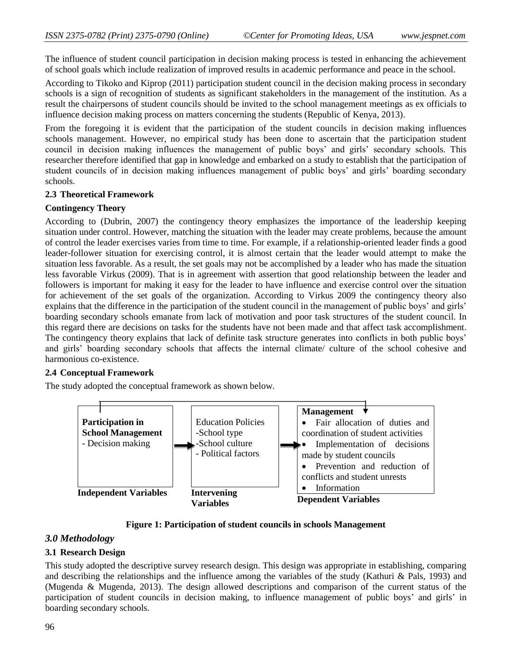The influence of student council participation in decision making process is tested in enhancing the achievement of school goals which include realization of improved results in academic performance and peace in the school.

According to Tikoko and Kiprop (2011) participation student council in the decision making process in secondary schools is a sign of recognition of students as significant stakeholders in the management of the institution. As a result the chairpersons of student councils should be invited to the school management meetings as ex officials to influence decision making process on matters concerning the students (Republic of Kenya, 2013).

From the foregoing it is evident that the participation of the student councils in decision making influences schools management. However, no empirical study has been done to ascertain that the participation student council in decision making influences the management of public boys' and girls' secondary schools. This researcher therefore identified that gap in knowledge and embarked on a study to establish that the participation of student councils of in decision making influences management of public boys' and girls' boarding secondary schools.

### **2.3 Theoretical Framework**

### **Contingency Theory**

According to (Dubrin, 2007) the contingency theory emphasizes the importance of the leadership keeping situation under control. However, matching the situation with the leader may create problems, because the amount of control the leader exercises varies from time to time. For example, if a relationship-oriented leader finds a good leader-follower situation for exercising control, it is almost certain that the leader would attempt to make the situation less favorable. As a result, the set goals may not be accomplished by a leader who has made the situation less favorable Virkus (2009). That is in agreement with assertion that good relationship between the leader and followers is important for making it easy for the leader to have influence and exercise control over the situation for achievement of the set goals of the organization. According to Virkus 2009 the contingency theory also explains that the difference in the participation of the student council in the management of public boys' and girls' boarding secondary schools emanate from lack of motivation and poor task structures of the student council. In this regard there are decisions on tasks for the students have not been made and that affect task accomplishment. The contingency theory explains that lack of definite task structure generates into conflicts in both public boys' and girls' boarding secondary schools that affects the internal climate/ culture of the school cohesive and harmonious co-existence.

## **2.4 Conceptual Framework**

The study adopted the conceptual framework as shown below.



**Figure 1: Participation of student councils in schools Management**

## *3.0 Methodology*

## **3.1 Research Design**

This study adopted the descriptive survey research design. This design was appropriate in establishing, comparing and describing the relationships and the influence among the variables of the study (Kathuri & Pals, 1993) and (Mugenda & Mugenda, 2013). The design allowed descriptions and comparison of the current status of the participation of student councils in decision making, to influence management of public boys' and girls' in boarding secondary schools.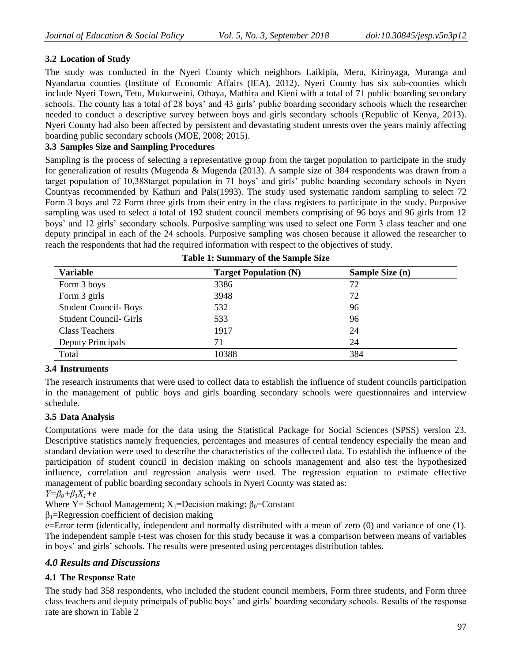# **3.2 Location of Study**

The study was conducted in the Nyeri County which neighbors Laikipia, Meru, Kirinyaga, Muranga and Nyandarua counties (Institute of Economic Affairs (IEA), 2012). Nyeri County has six sub-counties which include Nyeri Town, Tetu, Mukurweini, Othaya, Mathira and Kieni with a total of 71 public boarding secondary schools. The county has a total of 28 boys' and 43 girls' public boarding secondary schools which the researcher needed to conduct a descriptive survey between boys and girls secondary schools (Republic of Kenya, 2013). Nyeri County had also been affected by persistent and devastating student unrests over the years mainly affecting boarding public secondary schools (MOE, 2008; 2015).

# **3.3 Samples Size and Sampling Procedures**

Sampling is the process of selecting a representative group from the target population to participate in the study for generalization of results (Mugenda & Mugenda (2013). A sample size of 384 respondents was drawn from a target population of 10,388target population in 71 boys' and girls' public boarding secondary schools in Nyeri Countyas recommended by Kathuri and Pals(1993). The study used systematic random sampling to select 72 Form 3 boys and 72 Form three girls from their entry in the class registers to participate in the study. Purposive sampling was used to select a total of 192 student council members comprising of 96 boys and 96 girls from 12 boys' and 12 girls' secondary schools. Purposive sampling was used to select one Form 3 class teacher and one deputy principal in each of the 24 schools. Purposive sampling was chosen because it allowed the researcher to reach the respondents that had the required information with respect to the objectives of study.

| <b>Variable</b>               | <b>Target Population (N)</b> | Sample Size (n) |  |
|-------------------------------|------------------------------|-----------------|--|
| Form 3 boys                   | 3386                         | 72              |  |
| Form 3 girls                  | 3948                         | 72              |  |
| <b>Student Council-Boys</b>   | 532                          | 96              |  |
| <b>Student Council- Girls</b> | 533                          | 96              |  |
| Class Teachers                | 1917                         | 24              |  |
| Deputy Principals             | 71                           | 24              |  |
| Total                         | 10388                        | 384             |  |

| <b>Table 1: Summary of the Sample Size</b> |  |  |  |
|--------------------------------------------|--|--|--|
|--------------------------------------------|--|--|--|

# **3.4 Instruments**

The research instruments that were used to collect data to establish the influence of student councils participation in the management of public boys and girls boarding secondary schools were questionnaires and interview schedule.

# **3.5 Data Analysis**

Computations were made for the data using the Statistical Package for Social Sciences (SPSS) version 23. Descriptive statistics namely frequencies, percentages and measures of central tendency especially the mean and standard deviation were used to describe the characteristics of the collected data. To establish the influence of the participation of student council in decision making on schools management and also test the hypothesized influence, correlation and regression analysis were used. The regression equation to estimate effective management of public boarding secondary schools in Nyeri County was stated as:

$$
Y = \beta_0 + \beta_1 X_1 + e
$$

Where Y = School Management;  $X_1$ =Decision making;  $\beta_0$ =Constant

 $\beta_1$ =Regression coefficient of decision making

e=Error term (identically, independent and normally distributed with a mean of zero (0) and variance of one (1). The independent sample t-test was chosen for this study because it was a comparison between means of variables in boys' and girls' schools. The results were presented using percentages distribution tables.

# *4.0 Results and Discussions*

# **4.1 The Response Rate**

The study had 358 respondents, who included the student council members, Form three students, and Form three class teachers and deputy principals of public boys' and girls' boarding secondary schools. Results of the response rate are shown in Table 2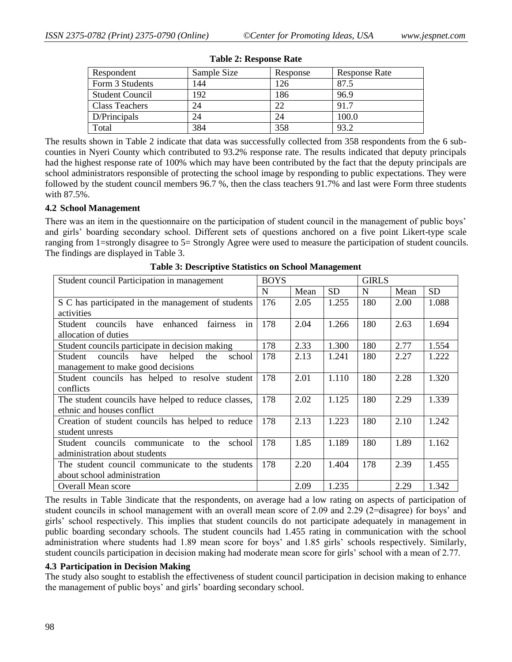| Respondent             | Sample Size | Response      | <b>Response Rate</b> |
|------------------------|-------------|---------------|----------------------|
| Form 3 Students        | 144         | <sup>26</sup> | 87.5                 |
| <b>Student Council</b> | 92          | 186           | 96.9                 |
| Class Teachers         | 24          | 22            | 917                  |
| D/Principals           | 24          | 24            | 100.0                |
| Total                  | 384         | 358           | 032                  |

#### **Table 2: Response Rate**

The results shown in Table 2 indicate that data was successfully collected from 358 respondents from the 6 subcounties in Nyeri County which contributed to 93.2% response rate. The results indicated that deputy principals had the highest response rate of 100% which may have been contributed by the fact that the deputy principals are school administrators responsible of protecting the school image by responding to public expectations. They were followed by the student council members 96.7 %, then the class teachers 91.7% and last were Form three students with 87.5%.

#### **4.2 School Management**

There was an item in the questionnaire on the participation of student council in the management of public boys' and girls' boarding secondary school. Different sets of questions anchored on a five point Likert-type scale ranging from 1=strongly disagree to 5= Strongly Agree were used to measure the participation of student councils. The findings are displayed in Table 3.

| Student council Participation in management               | <b>BOYS</b> |      |           | <b>GIRLS</b> |      |           |  |
|-----------------------------------------------------------|-------------|------|-----------|--------------|------|-----------|--|
|                                                           | N           | Mean | <b>SD</b> | N            | Mean | <b>SD</b> |  |
| S C has participated in the management of students        | 176         | 2.05 | 1.255     | 180          | 2.00 | 1.088     |  |
| activities                                                |             |      |           |              |      |           |  |
| have<br>enhanced<br>fairness<br>Student<br>councils<br>in | 178         | 2.04 | 1.266     | 180          | 2.63 | 1.694     |  |
| allocation of duties                                      |             |      |           |              |      |           |  |
| Student councils participate in decision making           | 178         | 2.33 | 1.300     | 180          | 2.77 | 1.554     |  |
| councils<br>helped<br>have<br>the<br>school<br>Student    | 178         | 2.13 | 1.241     | 180          | 2.27 | 1.222     |  |
| management to make good decisions                         |             |      |           |              |      |           |  |
| Student councils has helped to resolve student            | 178         | 2.01 | 1.110     | 180          | 2.28 | 1.320     |  |
| conflicts                                                 |             |      |           |              |      |           |  |
| The student councils have helped to reduce classes,       | 178         | 2.02 | 1.125     | 180          | 2.29 | 1.339     |  |
| ethnic and houses conflict                                |             |      |           |              |      |           |  |
| Creation of student councils has helped to reduce         | 178         | 2.13 | 1.223     | 180          | 2.10 | 1.242     |  |
| student unrests                                           |             |      |           |              |      |           |  |
| councils communicate<br>Student<br>the<br>school<br>to    | 178         | 1.85 | 1.189     | 180          | 1.89 | 1.162     |  |
| administration about students                             |             |      |           |              |      |           |  |
| The student council communicate to the students           | 178         | 2.20 | 1.404     | 178          | 2.39 | 1.455     |  |
| about school administration                               |             |      |           |              |      |           |  |
| Overall Mean score                                        |             | 2.09 | 1.235     |              | 2.29 | 1.342     |  |

**Table 3: Descriptive Statistics on School Management**

The results in Table 3indicate that the respondents, on average had a low rating on aspects of participation of student councils in school management with an overall mean score of 2.09 and 2.29 (2=disagree) for boys' and girls' school respectively. This implies that student councils do not participate adequately in management in public boarding secondary schools. The student councils had 1.455 rating in communication with the school administration where students had 1.89 mean score for boys' and 1.85 girls' schools respectively. Similarly, student councils participation in decision making had moderate mean score for girls' school with a mean of 2.77.

### **4.3 Participation in Decision Making**

The study also sought to establish the effectiveness of student council participation in decision making to enhance the management of public boys' and girls' boarding secondary school.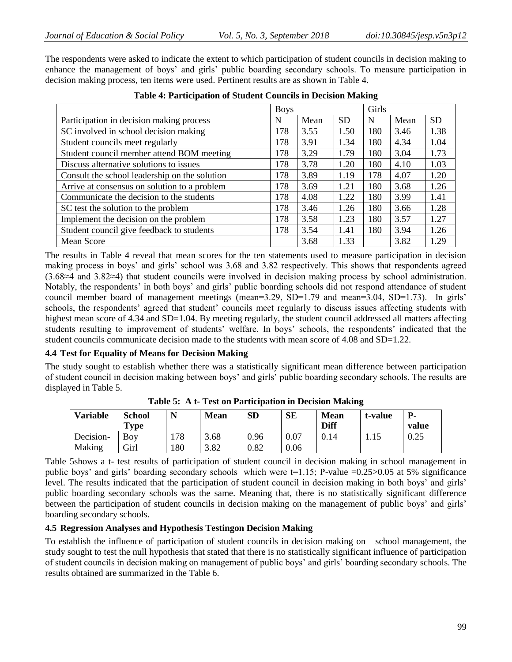The respondents were asked to indicate the extent to which participation of student councils in decision making to enhance the management of boys' and girls' public boarding secondary schools. To measure participation in decision making process, ten items were used. Pertinent results are as shown in Table 4.

|                                               | <b>Boys</b> |      |           | Girls |      |           |
|-----------------------------------------------|-------------|------|-----------|-------|------|-----------|
| Participation in decision making process      | N           | Mean | <b>SD</b> | N     | Mean | <b>SD</b> |
| SC involved in school decision making         | 178         | 3.55 | 1.50      | 180   | 3.46 | 1.38      |
| Student councils meet regularly               | 178         | 3.91 | 1.34      | 180   | 4.34 | 1.04      |
| Student council member attend BOM meeting     | 178         | 3.29 | 1.79      | 180   | 3.04 | 1.73      |
| Discuss alternative solutions to issues       | 178         | 3.78 | 1.20      | 180   | 4.10 | 1.03      |
| Consult the school leadership on the solution | 178         | 3.89 | 1.19      | 178   | 4.07 | 1.20      |
| Arrive at consensus on solution to a problem  | 178         | 3.69 | 1.21      | 180   | 3.68 | 1.26      |
| Communicate the decision to the students      | 178         | 4.08 | 1.22      | 180   | 3.99 | 1.41      |
| SC test the solution to the problem           | 178         | 3.46 | 1.26      | 180   | 3.66 | 1.28      |
| Implement the decision on the problem         | 178         | 3.58 | 1.23      | 180   | 3.57 | 1.27      |
| Student council give feedback to students     | 178         | 3.54 | 1.41      | 180   | 3.94 | 1.26      |
| <b>Mean Score</b>                             |             | 3.68 | 1.33      |       | 3.82 | 1.29      |

## **Table 4: Participation of Student Councils in Decision Making**

The results in Table 4 reveal that mean scores for the ten statements used to measure participation in decision making process in boys' and girls' school was 3.68 and 3.82 respectively. This shows that respondents agreed (3.68≈4 and 3.82≈4) that student councils were involved in decision making process by school administration. Notably, the respondents' in both boys' and girls' public boarding schools did not respond attendance of student council member board of management meetings (mean=3.29, SD=1.79 and mean=3.04, SD=1.73). In girls' schools, the respondents' agreed that student' councils meet regularly to discuss issues affecting students with highest mean score of 4.34 and SD=1.04. By meeting regularly, the student council addressed all matters affecting students resulting to improvement of students' welfare. In boys' schools, the respondents' indicated that the student councils communicate decision made to the students with mean score of 4.08 and SD=1.22.

## **4.4 Test for Equality of Means for Decision Making**

The study sought to establish whether there was a statistically significant mean difference between participation of student council in decision making between boys' and girls' public boarding secondary schools. The results are displayed in Table 5.

| <b>Variable</b> | <b>School</b><br>$\mathbf{Type}$ | N   | <b>Mean</b> | <b>SD</b> | <b>SE</b> | <b>Mean</b><br>Diff | t-value | <b>P</b> -<br>value |
|-----------------|----------------------------------|-----|-------------|-----------|-----------|---------------------|---------|---------------------|
| Decision-       | Bov                              | 78ء | 3.68        | 0.96      | 0.07      | 0.14                | 1.15    | 0.25                |
| Making          | Girl                             | 180 | 3.82        | 0.82      | 0.06      |                     |         |                     |

**Table 5: A t- Test on Participation in Decision Making**

Table 5shows a t- test results of participation of student council in decision making in school management in public boys' and girls' boarding secondary schools which were  $t=1.15$ ; P-value  $=0.25>0.05$  at 5% significance level. The results indicated that the participation of student council in decision making in both boys' and girls' public boarding secondary schools was the same. Meaning that, there is no statistically significant difference between the participation of student councils in decision making on the management of public boys' and girls' boarding secondary schools.

## **4.5 Regression Analyses and Hypothesis Testingon Decision Making**

To establish the influence of participation of student councils in decision making on school management, the study sought to test the null hypothesis that stated that there is no statistically significant influence of participation of student councils in decision making on management of public boys' and girls' boarding secondary schools. The results obtained are summarized in the Table 6.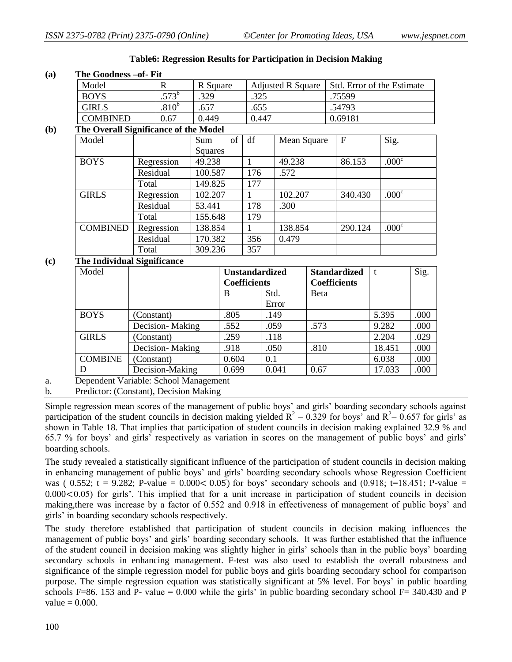| (a) | The Goodness - of- Fit             |                                       |                   |                |                                              |      |              |                                            |         |                            |        |                   |      |
|-----|------------------------------------|---------------------------------------|-------------------|----------------|----------------------------------------------|------|--------------|--------------------------------------------|---------|----------------------------|--------|-------------------|------|
|     | Model                              |                                       | $\mathbf R$       | R Square       |                                              |      |              | <b>Adjusted R Square</b>                   |         | Std. Error of the Estimate |        |                   |      |
|     | <b>BOYS</b>                        |                                       | $.573^b$          | .329           |                                              |      | .325         |                                            |         | .75599                     |        |                   |      |
|     | <b>GIRLS</b>                       |                                       | .810 <sup>b</sup> | .657           |                                              | .655 |              |                                            | .54793  |                            |        |                   |      |
|     | <b>COMBINED</b>                    |                                       | 0.67              | 0.449          |                                              |      | 0.447        |                                            |         | 0.69181                    |        |                   |      |
| (b) |                                    | The Overall Significance of the Model |                   |                |                                              |      |              |                                            |         |                            |        |                   |      |
|     | Model                              |                                       |                   | Sum<br>Squares | of                                           | df   |              | Mean Square                                |         | $\mathbf F$                | Sig.   |                   |      |
|     | <b>BOYS</b>                        |                                       | Regression        | 49.238         |                                              | 1    |              | 49.238                                     |         | 86.153                     |        | .000 <sup>c</sup> |      |
|     |                                    | Residual                              |                   | 100.587        |                                              | 176  |              | .572                                       |         |                            |        |                   |      |
|     |                                    | Total<br>149.825                      |                   |                | 177                                          |      |              |                                            |         |                            |        |                   |      |
|     | <b>GIRLS</b>                       |                                       | Regression        | 102.207        |                                              | 1    |              | 102.207                                    |         | 340.430                    |        | .000 <sup>c</sup> |      |
|     |                                    | Residual                              |                   | 53.441         |                                              | 178  |              | .300                                       |         |                            |        |                   |      |
|     |                                    | Total                                 |                   | 155.648        |                                              | 179  |              |                                            |         |                            |        |                   |      |
|     | <b>COMBINED</b>                    | Regression                            |                   |                | 138.854                                      |      | 138.854<br>1 |                                            | 290.124 |                            |        | .000 <sup>c</sup> |      |
|     |                                    | Residual                              |                   | 170.382        |                                              |      | 356<br>0.479 |                                            |         |                            |        |                   |      |
|     |                                    | Total                                 |                   | 309.236        |                                              | 357  |              |                                            |         |                            |        |                   |      |
| (c) | <b>The Individual Significance</b> |                                       |                   |                |                                              |      |              |                                            |         |                            |        |                   |      |
|     | Model                              |                                       |                   |                | <b>Unstandardized</b><br><b>Coefficients</b> |      |              | <b>Standardized</b><br><b>Coefficients</b> |         | $\mathbf{t}$               |        | Sig.              |      |
|     |                                    |                                       |                   |                | B                                            |      | Std.         |                                            | Beta    |                            |        |                   |      |
|     |                                    |                                       |                   |                |                                              |      |              | Error                                      |         |                            |        |                   |      |
|     | <b>BOYS</b>                        | (Constant)                            |                   |                | .805                                         |      |              | .149                                       |         |                            |        | 5.395             | .000 |
|     |                                    |                                       | Decision-Making   |                | .552                                         |      | .059         |                                            | .573    |                            |        | 9.282<br>.000     |      |
|     | <b>GIRLS</b>                       | (Constant)                            |                   |                | .259                                         |      | .118         |                                            |         |                            |        | 2.204             | .029 |
|     |                                    | Decision-Making                       |                   |                | .918                                         | .050 |              | .810                                       |         |                            | 18.451 | .000              |      |

# **Table6: Regression Results for Participation in Decision Making**

a. Dependent Variable: School Management

b. Predictor: (Constant), Decision Making

**COMBINE** 

D

Simple regression mean scores of the management of public boys' and girls' boarding secondary schools against participation of the student councils in decision making yielded  $R^2 = 0.329$  for boys' and  $R^2 = 0.657$  for girls' as shown in Table 18. That implies that participation of student councils in decision making explained 32.9 % and 65.7 % for boys' and girls' respectively as variation in scores on the management of public boys' and girls' boarding schools.

 $\vert 0.604 \vert 0.1 \vert 6.038 \vert 0.000$ Decision-Making 0.699 0.041 0.67 17.033 0.000

The study revealed a statistically significant influence of the participation of student councils in decision making in enhancing management of public boys' and girls' boarding secondary schools whose Regression Coefficient was (  $0.552$ ; t = 9.282; P-value = 0.000 < 0.05) for boys' secondary schools and (0.918; t=18.451; P-value = 0.000<0.05) for girls'. This implied that for a unit increase in participation of student councils in decision making,there was increase by a factor of 0.552 and 0.918 in effectiveness of management of public boys' and girls' in boarding secondary schools respectively.

The study therefore established that participation of student councils in decision making influences the management of public boys' and girls' boarding secondary schools. It was further established that the influence of the student council in decision making was slightly higher in girls' schools than in the public boys' boarding secondary schools in enhancing management. F-test was also used to establish the overall robustness and significance of the simple regression model for public boys and girls boarding secondary school for comparison purpose. The simple regression equation was statistically significant at 5% level. For boys' in public boarding schools F=86. 153 and P- value = 0.000 while the girls' in public boarding secondary school F= 340.430 and P value  $= 0.000$ .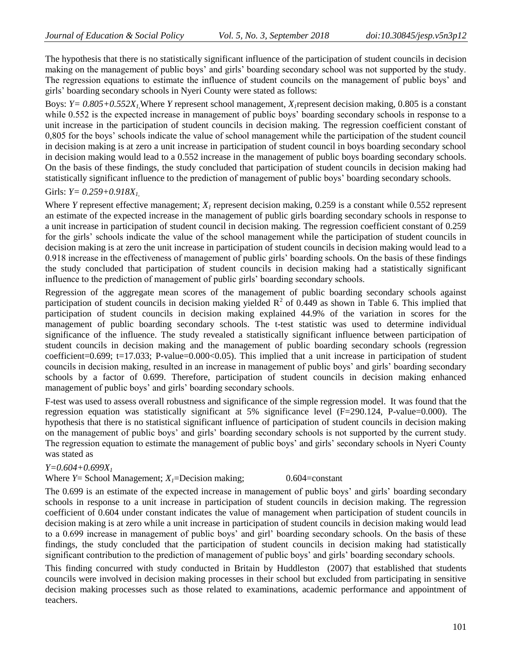The hypothesis that there is no statistically significant influence of the participation of student councils in decision making on the management of public boys' and girls' boarding secondary school was not supported by the study. The regression equations to estimate the influence of student councils on the management of public boys' and girls' boarding secondary schools in Nyeri County were stated as follows:

Boys:  $Y = 0.805 + 0.552X<sub>L</sub>$ , Where *Y* represent school management,  $X<sub>I</sub>$  represent decision making, 0.805 is a constant while 0.552 is the expected increase in management of public boys' boarding secondary schools in response to a unit increase in the participation of student councils in decision making. The regression coefficient constant of 0,805 for the boys' schools indicate the value of school management while the participation of the student council in decision making is at zero a unit increase in participation of student council in boys boarding secondary school in decision making would lead to a 0.552 increase in the management of public boys boarding secondary schools. On the basis of these findings, the study concluded that participation of student councils in decision making had statistically significant influence to the prediction of management of public boys' boarding secondary schools.

# Girls: *Y= 0.259+0.918X1*,

Where *Y* represent effective management; *X<sup>1</sup>* represent decision making, 0.259 is a constant while 0.552 represent an estimate of the expected increase in the management of public girls boarding secondary schools in response to a unit increase in participation of student council in decision making. The regression coefficient constant of 0.259 for the girls' schools indicate the value of the school management while the participation of student councils in decision making is at zero the unit increase in participation of student councils in decision making would lead to a 0.918 increase in the effectiveness of management of public girls' boarding schools. On the basis of these findings the study concluded that participation of student councils in decision making had a statistically significant influence to the prediction of management of public girls' boarding secondary schools.

Regression of the aggregate mean scores of the management of public boarding secondary schools against participation of student councils in decision making yielded  $R^2$  of 0.449 as shown in Table 6. This implied that participation of student councils in decision making explained 44.9% of the variation in scores for the management of public boarding secondary schools. The t-test statistic was used to determine individual significance of the influence. The study revealed a statistically significant influence between participation of student councils in decision making and the management of public boarding secondary schools (regression coefficient=0.699; t=17.033; P-value=0.000<0.05). This implied that a unit increase in participation of student councils in decision making, resulted in an increase in management of public boys' and girls' boarding secondary schools by a factor of 0.699. Therefore, participation of student councils in decision making enhanced management of public boys' and girls' boarding secondary schools.

F-test was used to assess overall robustness and significance of the simple regression model. It was found that the regression equation was statistically significant at 5% significance level (F=290.124, P-value=0.000). The hypothesis that there is no statistical significant influence of participation of student councils in decision making on the management of public boys' and girls' boarding secondary schools is not supported by the current study. The regression equation to estimate the management of public boys' and girls' secondary schools in Nyeri County was stated as

## *Y=0.604+0.699X<sup>1</sup>*

# Where  $Y =$  School Management;  $X_I =$ Decision making; 0.604=constant

The 0.699 is an estimate of the expected increase in management of public boys' and girls' boarding secondary schools in response to a unit increase in participation of student councils in decision making. The regression coefficient of 0.604 under constant indicates the value of management when participation of student councils in decision making is at zero while a unit increase in participation of student councils in decision making would lead to a 0.699 increase in management of public boys' and girl' boarding secondary schools. On the basis of these findings, the study concluded that the participation of student councils in decision making had statistically significant contribution to the prediction of management of public boys' and girls' boarding secondary schools.

This finding concurred with study conducted in Britain by Huddleston (2007) that established that students councils were involved in decision making processes in their school but excluded from participating in sensitive decision making processes such as those related to examinations, academic performance and appointment of teachers.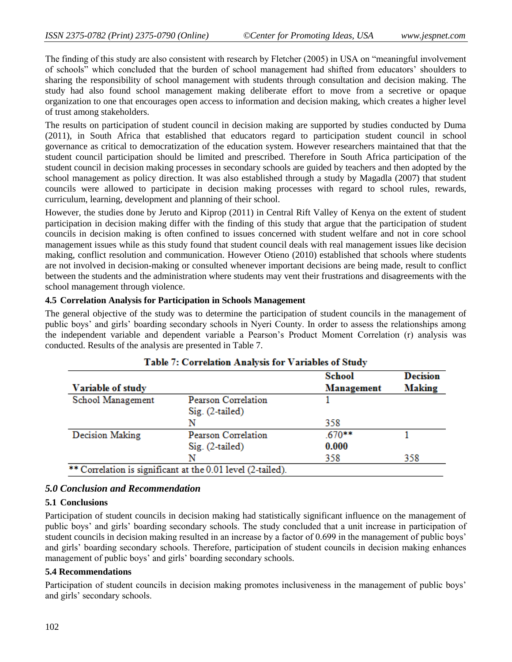The finding of this study are also consistent with research by Fletcher (2005) in USA on "meaningful involvement of schools" which concluded that the burden of school management had shifted from educators' shoulders to sharing the responsibility of school management with students through consultation and decision making. The study had also found school management making deliberate effort to move from a secretive or opaque organization to one that encourages open access to information and decision making, which creates a higher level of trust among stakeholders.

The results on participation of student council in decision making are supported by studies conducted by Duma (2011), in South Africa that established that educators regard to participation student council in school governance as critical to democratization of the education system. However researchers maintained that that the student council participation should be limited and prescribed. Therefore in South Africa participation of the student council in decision making processes in secondary schools are guided by teachers and then adopted by the school management as policy direction. It was also established through a study by Magadla (2007) that student councils were allowed to participate in decision making processes with regard to school rules, rewards, curriculum, learning, development and planning of their school.

However, the studies done by Jeruto and Kiprop (2011) in Central Rift Valley of Kenya on the extent of student participation in decision making differ with the finding of this study that argue that the participation of student councils in decision making is often confined to issues concerned with student welfare and not in core school management issues while as this study found that student council deals with real management issues like decision making, conflict resolution and communication. However Otieno (2010) established that schools where students are not involved in decision-making or consulted whenever important decisions are being made, result to conflict between the students and the administration where students may vent their frustrations and disagreements with the school management through violence.

### **4.5 Correlation Analysis for Participation in Schools Management**

The general objective of the study was to determine the participation of student councils in the management of public boys' and girls' boarding secondary schools in Nyeri County. In order to assess the relationships among the independent variable and dependent variable a Pearson's Product Moment Correlation (r) analysis was conducted. Results of the analysis are presented in Table 7.

|                   | Table 7: Correlation Analysis for Variables of Study        | School     | <b>Decision</b> |
|-------------------|-------------------------------------------------------------|------------|-----------------|
| Variable of study |                                                             | Management | <b>Making</b>   |
| School Management | Pearson Correlation                                         |            |                 |
|                   | $Sig. (2-tailed)$                                           |            |                 |
|                   | N                                                           | 358        |                 |
| Decision Making   | Pearson Correlation                                         | $.670***$  |                 |
|                   | $Sig.$ $(2-tailed)$                                         | 0.000      |                 |
|                   | N                                                           | 358        | 358             |
|                   | ** Correlation is significant at the 0.01 level (2-tailed). |            |                 |

# Table 7: Correlation Analysis for Variables of Study

## *5.0 Conclusion and Recommendation*

#### **5.1 Conclusions**

Participation of student councils in decision making had statistically significant influence on the management of public boys' and girls' boarding secondary schools. The study concluded that a unit increase in participation of student councils in decision making resulted in an increase by a factor of 0.699 in the management of public boys' and girls' boarding secondary schools. Therefore, participation of student councils in decision making enhances management of public boys' and girls' boarding secondary schools.

## **5.4 Recommendations**

Participation of student councils in decision making promotes inclusiveness in the management of public boys' and girls' secondary schools.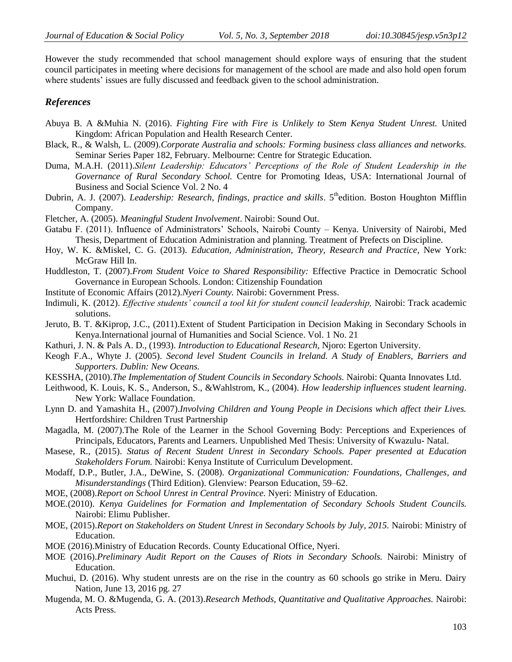However the study recommended that school management should explore ways of ensuring that the student council participates in meeting where decisions for management of the school are made and also hold open forum where students' issues are fully discussed and feedback given to the school administration.

## *References*

- Abuya B. A &Muhia N. (2016). *Fighting Fire with Fire is Unlikely to Stem Kenya Student Unrest.* United Kingdom: African Population and Health Research Center.
- Black, R., & Walsh, L. (2009).*Corporate Australia and schools: Forming business class alliances and networks.* Seminar Series Paper 182, February. Melbourne: Centre for Strategic Education.
- Duma, M.A.H. (2011).*Silent Leadership: Educators' Perceptions of the Role of Student Leadership in the Governance of Rural Secondary School.* Centre for Promoting Ideas, USA: International Journal of Business and Social Science Vol. 2 No. 4
- Dubrin, A. J. (2007). *Leadership: Research, findings, practice and skills*. 5<sup>th</sup>edition. Boston Houghton Mifflin Company.
- Fletcher, A. (2005). *Meaningful Student Involvement*. Nairobi: Sound Out.
- Gatabu F. (2011). Influence of Administrators' Schools, Nairobi County Kenya. University of Nairobi, Med Thesis, Department of Education Administration and planning. Treatment of Prefects on Discipline.
- Hoy, W. K. &Miskel, C. G. (2013). *Education, Administration, Theory, Research and Practice*, New York: McGraw Hill In.
- Huddleston, T. (2007).*From Student Voice to Shared Responsibility:* Effective Practice in Democratic School Governance in European Schools. London: Citizenship Foundation
- Institute of Economic Affairs (2012).*Nyeri County.* Nairobi: Government Press.
- Indimuli, K. (2012). *Effective students' council a tool kit for student council leadership,* Nairobi: Track academic solutions.
- Jeruto, B. T. &Kiprop, J.C., (2011).Extent of Student Participation in Decision Making in Secondary Schools in Kenya.International journal of Humanities and Social Science. Vol. 1 No. 21
- Kathuri, J. N. & Pals A. D., (1993). *Introduction to Educational Research,* Njoro: Egerton University.
- Keogh F.A., Whyte J. (2005). *Second level Student Councils in Ireland. A Study of Enablers, Barriers and Supporters. Dublin: New Oceans.*
- KESSHA, (2010).*The Implementation of Student Councils in Secondary Schools.* Nairobi: Quanta Innovates Ltd.
- Leithwood, K. Louis, K. S., Anderson, S., &Wahlstrom, K., (2004). *How leadership influences student learning.*  New York: Wallace Foundation.
- Lynn D. and Yamashita H., (2007).*Involving Children and Young People in Decisions which affect their Lives.* Hertfordshire: Children Trust Partnership
- Magadla, M. (2007).The Role of the Learner in the School Governing Body: Perceptions and Experiences of Principals, Educators, Parents and Learners. Unpublished Med Thesis: University of Kwazulu- Natal.
- Masese, R., (2015). *Status of Recent Student Unrest in Secondary Schools. Paper presented at Education Stakeholders Forum.* Nairobi: Kenya Institute of Curriculum Development.
- Modaff, D.P., Butler, J.A., DeWine, S. (2008). *Organizational Communication: Foundations, Challenges, and Misunderstandings* (Third Edition). Glenview: Pearson Education, 59–62.
- MOE, (2008).*Report on School Unrest in Central Province.* Nyeri: Ministry of Education.
- MOE.(2010). *Kenya Guidelines for Formation and Implementation of Secondary Schools Student Councils.* Nairobi: Elimu Publisher.
- MOE, (2015).*Report on Stakeholders on Student Unrest in Secondary Schools by July, 2015.* Nairobi: Ministry of Education.
- MOE (2016).Ministry of Education Records. County Educational Office, Nyeri.
- MOE (2016).*Preliminary Audit Report on the Causes of Riots in Secondary Schools.* Nairobi: Ministry of Education.
- Muchui, D. (2016). Why student unrests are on the rise in the country as 60 schools go strike in Meru. Dairy Nation, June 13, 2016 pg. 27
- Mugenda, M. O. &Mugenda, G. A. (2013).*Research Methods, Quantitative and Qualitative Approaches.* Nairobi: Acts Press.